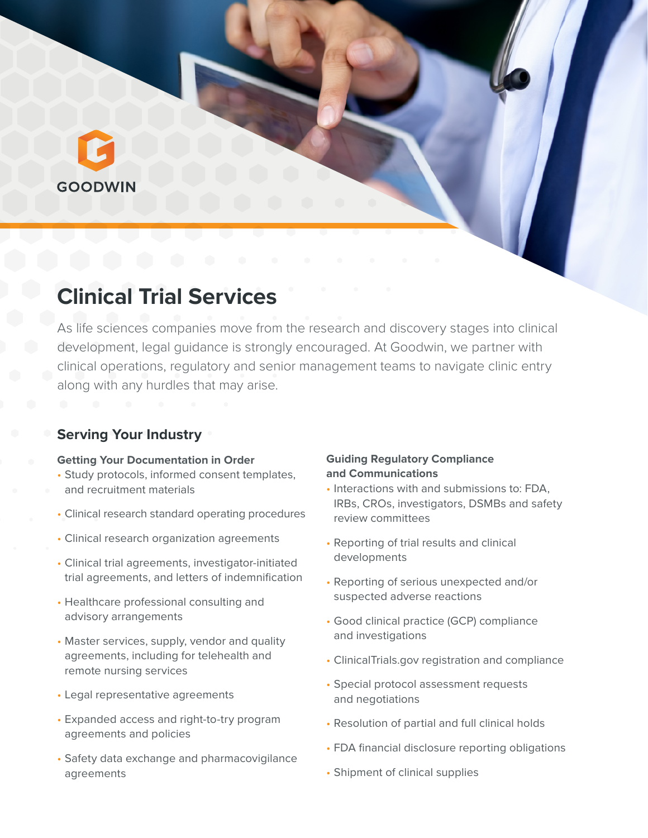# **GOODWIN**

# **Clinical Trial Services**

As life sciences companies move from the research and discovery stages into clinical development, legal guidance is strongly encouraged. At Goodwin, we partner with clinical operations, regulatory and senior management teams to navigate clinic entry along with any hurdles that may arise.

# **Serving Your Industry**

#### **Getting Your Documentation in Order**

- Study protocols, informed consent templates, and recruitment materials
- Clinical research standard operating procedures
- Clinical research organization agreements
- Clinical trial agreements, investigator-initiated trial agreements, and letters of indemnification
- Healthcare professional consulting and advisory arrangements
- Master services, supply, vendor and quality agreements, including for telehealth and remote nursing services
- Legal representative agreements
- Expanded access and right-to-try program agreements and policies
- Safety data exchange and pharmacovigilance agreements

#### **Guiding Regulatory Compliance and Communications**

- Interactions with and submissions to: FDA, IRBs, CROs, investigators, DSMBs and safety review committees
- Reporting of trial results and clinical developments
- Reporting of serious unexpected and/or suspected adverse reactions
- Good clinical practice (GCP) compliance and investigations
- ClinicalTrials.gov registration and compliance
- Special protocol assessment requests and negotiations
- Resolution of partial and full clinical holds
- FDA financial disclosure reporting obligations
- Shipment of clinical supplies